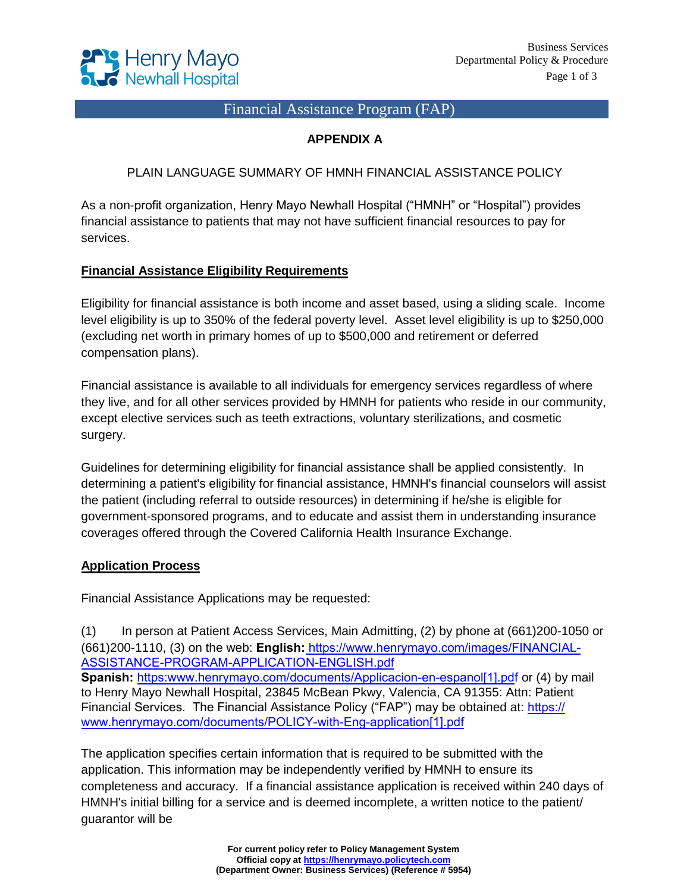

### Financial Assistance Program (FAP)

### **APPENDIX A**

PLAIN LANGUAGE SUMMARY OF HMNH FINANCIAL ASSISTANCE POLICY

As a non-profit organization, Henry Mayo Newhall Hospital ("HMNH" or "Hospital") provides financial assistance to patients that may not have sufficient financial resources to pay for services.

### **Financial Assistance Eligibility Requirements**

Eligibility for financial assistance is both income and asset based, using a sliding scale. Income level eligibility is up to 350% of the federal poverty level. Asset level eligibility is up to \$250,000 (excluding net worth in primary homes of up to \$500,000 and retirement or deferred compensation plans).

Financial assistance is available to all individuals for emergency services regardless of where they live, and for all other services provided by HMNH for patients who reside in our community, except elective services such as teeth extractions, voluntary sterilizations, and cosmetic surgery.

Guidelines for determining eligibility for financial assistance shall be applied consistently. In determining a patient's eligibility for financial assistance, HMNH's financial counselors will assist the patient (including referral to outside resources) in determining if he/she is eligible for government-sponsored programs, and to educate and assist them in understanding insurance coverages offered through the Covered California Health Insurance Exchange.

### **Application Process**

Financial Assistance Applications may be requested:

(1) In person at Patient Access Services, Main Admitting, (2) by phone at (661)200-1050 or (661)200-1110, (3) on the web: **English:** https://www.henrymayo.com/images/FINANCIAL-[ASSISTANCE-PROGRAM-APPLICATION-ENGLISH.pdf](https://www.henrymayo.com/images/FINANCIAL-ASSISTANCE-PROGRAM-APPLICATION-ENGLISH.pdf) **Spanish:** [https:www.henrymayo.com/documents/Applicacion-en-espanol\[1\].pdf](https://www.henrymayo.com/documents/Applicacion-en-espanol[1].pdf) or (4) by mail to Henry Mayo Newhall Hospital, 23845 McBean Pkwy, Valencia, CA 91355: Attn: Patient Financial Services. The Financial Assistance Policy ("FAP") may be obtained at: https:// [www.henrymayo.com/documents/POLICY-with-Eng-application\[1\].pdf](https://www.henrymayo.com/documents/POLICY-with-Eng-application[1].pdf)

The application specifies certain information that is required to be submitted with the application. This information may be independently verified by HMNH to ensure its completeness and accuracy. If a financial assistance application is received within 240 days of HMNH's initial billing for a service and is deemed incomplete, a written notice to the patient/ guarantor will be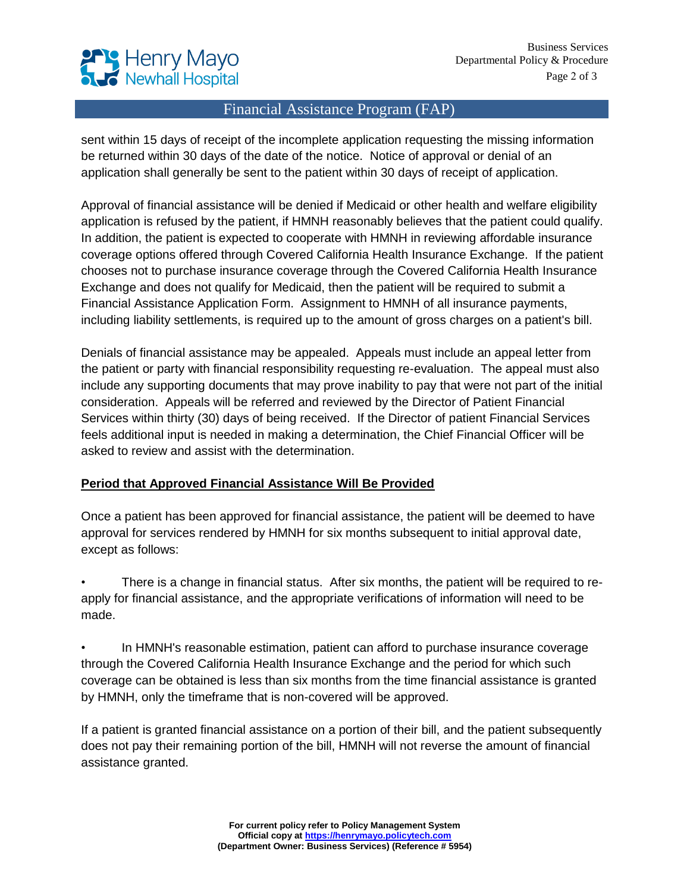

# Financial Assistance Program (FAP)

sent within 15 days of receipt of the incomplete application requesting the missing information be returned within 30 days of the date of the notice. Notice of approval or denial of an application shall generally be sent to the patient within 30 days of receipt of application.

Approval of financial assistance will be denied if Medicaid or other health and welfare eligibility application is refused by the patient, if HMNH reasonably believes that the patient could qualify. In addition, the patient is expected to cooperate with HMNH in reviewing affordable insurance coverage options offered through Covered California Health Insurance Exchange. If the patient chooses not to purchase insurance coverage through the Covered California Health Insurance Exchange and does not qualify for Medicaid, then the patient will be required to submit a Financial Assistance Application Form. Assignment to HMNH of all insurance payments, including liability settlements, is required up to the amount of gross charges on a patient's bill.

Denials of financial assistance may be appealed. Appeals must include an appeal letter from the patient or party with financial responsibility requesting re-evaluation. The appeal must also include any supporting documents that may prove inability to pay that were not part of the initial consideration. Appeals will be referred and reviewed by the Director of Patient Financial Services within thirty (30) days of being received. If the Director of patient Financial Services feels additional input is needed in making a determination, the Chief Financial Officer will be asked to review and assist with the determination.

### **Period that Approved Financial Assistance Will Be Provided**

Once a patient has been approved for financial assistance, the patient will be deemed to have approval for services rendered by HMNH for six months subsequent to initial approval date, except as follows:

• There is a change in financial status. After six months, the patient will be required to reapply for financial assistance, and the appropriate verifications of information will need to be made.

• In HMNH's reasonable estimation, patient can afford to purchase insurance coverage through the Covered California Health Insurance Exchange and the period for which such coverage can be obtained is less than six months from the time financial assistance is granted by HMNH, only the timeframe that is non-covered will be approved.

If a patient is granted financial assistance on a portion of their bill, and the patient subsequently does not pay their remaining portion of the bill, HMNH will not reverse the amount of financial assistance granted.